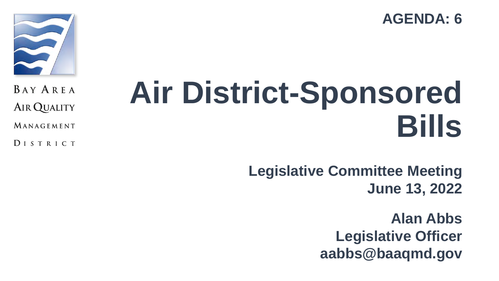**AGENDA: 6**



**BAY AREA AIR QUALITY** 

MANAGEMENT

DISTRICT

# **Air District-Sponsored Bills**

**Legislative Committee Meeting June 13, 2022**

> **Alan Abbs Legislative Officer aabbs@baaqmd.gov**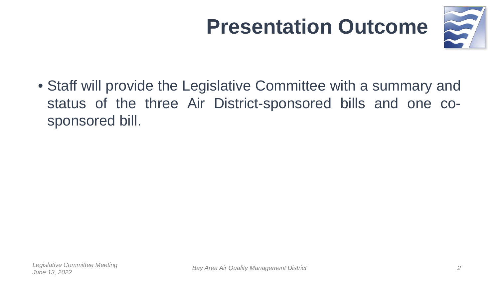### **Presentation Outcome**



• Staff will provide the Legislative Committee with a summary and status of the three Air District-sponsored bills and one cosponsored bill.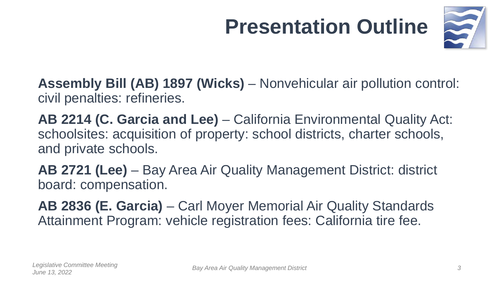## **Presentation Outline**



**Assembly Bill (AB) 1897 (Wicks)** – Nonvehicular air pollution control: civil penalties: refineries.

**AB 2214 (C. Garcia and Lee)** – California Environmental Quality Act: schoolsites: acquisition of property: school districts, charter schools, and private schools.

**AB 2721 (Lee)** – Bay Area Air Quality Management District: district board: compensation.

**AB 2836 (E. Garcia)** – Carl Moyer Memorial Air Quality Standards Attainment Program: vehicle registration fees: California tire fee.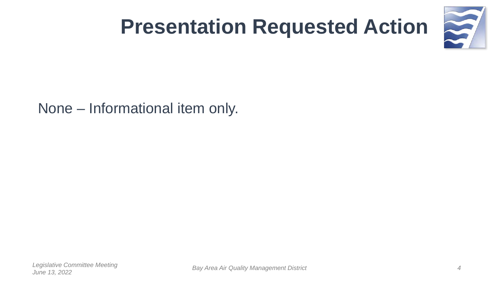

### **Presentation Requested Action**

None – Informational item only.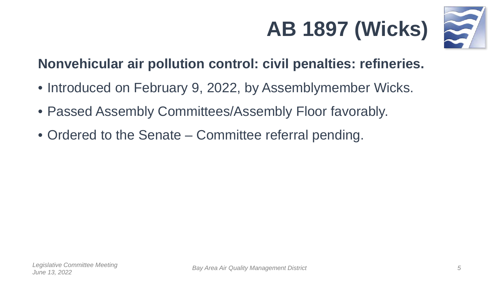



#### **Nonvehicular air pollution control: civil penalties: refineries.**

- Introduced on February 9, 2022, by Assemblymember Wicks.
- Passed Assembly Committees/Assembly Floor favorably.
- Ordered to the Senate Committee referral pending.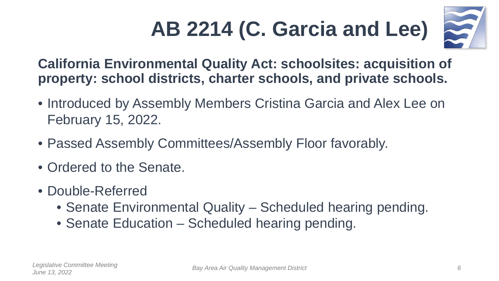## **AB 2214 (C. Garcia and Lee)**



**California Environmental Quality Act: schoolsites: acquisition of property: school districts, charter schools, and private schools.** 

- Introduced by Assembly Members Cristina Garcia and Alex Lee on February 15, 2022.
- Passed Assembly Committees/Assembly Floor favorably.
- Ordered to the Senate.
- Double-Referred
	- Senate Environmental Quality Scheduled hearing pending.
	- Senate Education Scheduled hearing pending.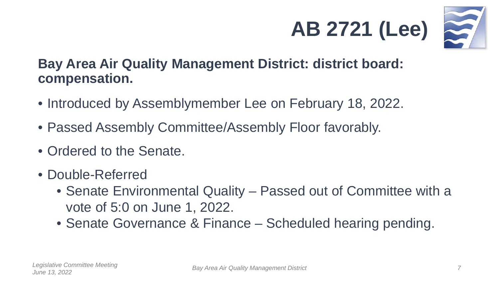



#### **Bay Area Air Quality Management District: district board: compensation.**

- Introduced by Assemblymember Lee on February 18, 2022.
- Passed Assembly Committee/Assembly Floor favorably.
- Ordered to the Senate.
- Double-Referred
	- Senate Environmental Quality Passed out of Committee with a vote of 5:0 on June 1, 2022.
	- Senate Governance & Finance Scheduled hearing pending.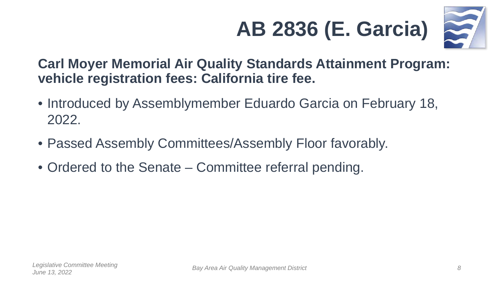



#### **Carl Moyer Memorial Air Quality Standards Attainment Program: vehicle registration fees: California tire fee.**

- Introduced by Assemblymember Eduardo Garcia on February 18, 2022.
- Passed Assembly Committees/Assembly Floor favorably.
- Ordered to the Senate Committee referral pending.